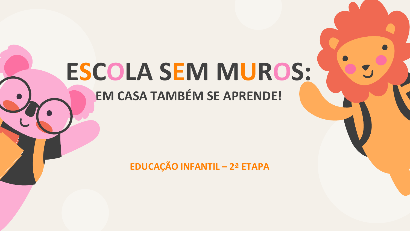# **ESCOLA SEM MUROS:**

# **EM CASA TAMBÉM SE APRENDE!**

**EDUCAÇÃO INFANTIL - 2ª ETAPA**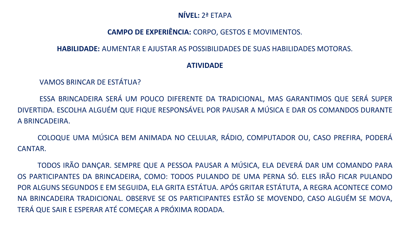## **NÍVEL:** 2ª ETAPA

# **CAMPO DE EXPERIÊNCIA:** CORPO, GESTOS E MOVIMENTOS.

#### **HABILIDADE:** AUMENTAR E AJUSTAR AS POSSIBILIDADES DE SUAS HABILIDADES MOTORAS.

### **ATIVIDADE**

VAMOS BRINCAR DE ESTÁTUA?

ESSA BRINCADEIRA SERÁ UM POUCO DIFERENTE DA TRADICIONAL, MAS GARANTIMOS QUE SERÁ SUPER DIVERTIDA. ESCOLHA ALGUÉM QUE FIQUE RESPONSÁVEL POR PAUSAR A MÚSICA E DAR OS COMANDOS DURANTE A BRINCADEIRA.

COLOQUE UMA MÚSICA BEM ANIMADA NO CELULAR, RÁDIO, COMPUTADOR OU, CASO PREFIRA, PODERÁ CANTAR.

TODOS IRÃO DANÇAR. SEMPRE QUE A PESSOA PAUSAR A MÚSICA, ELA DEVERÁ DAR UM COMANDO PARA OS PARTICIPANTES DA BRINCADEIRA, COMO: TODOS PULANDO DE UMA PERNA SÓ. ELES IRÃO FICAR PULANDO POR ALGUNS SEGUNDOS E EM SEGUIDA, ELA GRITA ESTÁTUA. APÓS GRITAR ESTÁTUTA, A REGRA ACONTECE COMO NA BRINCADEIRA TRADICIONAL. OBSERVE SE OS PARTICIPANTES ESTÃO SE MOVENDO, CASO ALGUÉM SE MOVA, TERÁ QUE SAIR E ESPERAR ATÉ COMEÇAR A PRÓXIMA RODADA.